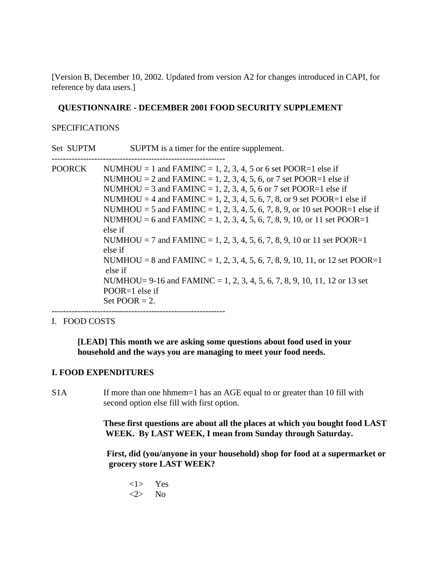[Version B, December 10, 2002. Updated from version A2 for changes introduced in CAPI, for reference by data users.]

# **QUESTIONNAIRE - DECEMBER 2001 FOOD SECURITY SUPPLEMENT**

# SPECIFICATIONS

Set SUPTM SUPTM is a timer for the entire supplement. -------------------------------------------------------------

POORCK NUMHOU = 1 and FAMINC = 1, 2, 3, 4, 5 or 6 set POOR=1 else if NUMHOU = 2 and FAMINC = 1, 2, 3, 4, 5, 6, or 7 set POOR=1 else if NUMHOU = 3 and FAMINC = 1, 2, 3, 4, 5, 6 or 7 set POOR=1 else if NUMHOU = 4 and FAMINC = 1, 2, 3, 4, 5, 6, 7, 8, or 9 set POOR=1 else if NUMHOU = 5 and FAMINC = 1, 2, 3, 4, 5, 6, 7, 8, 9, or 10 set POOR=1 else if NUMHOU = 6 and FAMINC = 1, 2, 3, 4, 5, 6, 7, 8, 9, 10, or 11 set POOR=1 else if NUMHOU = 7 and FAMINC = 1, 2, 3, 4, 5, 6, 7, 8, 9, 10 or 11 set POOR=1 else if NUMHOU = 8 and FAMINC = 1, 2, 3, 4, 5, 6, 7, 8, 9, 10, 11, or 12 set POOR=1 else if NUMHOU= 9-16 and FAMINC = 1, 2, 3, 4, 5, 6, 7, 8, 9, 10, 11, 12 or 13 set POOR=1 else if Set  $POOR = 2$ .

# I. FOOD COSTS

**[LEAD] This month we are asking some questions about food used in your household and the ways you are managing to meet your food needs.**

# **I. FOOD EXPENDITURES**

-------------------------------------------------------------

S1A If more than one hhmem=1 has an AGE equal to or greater than 10 fill with second option else fill with first option.

> **These first questions are about all the places at which you bought food LAST WEEK. By LAST WEEK, I mean from Sunday through Saturday.**

> **First, did (you/anyone in your household) shop for food at a supermarket or grocery store LAST WEEK?**

<1> Yes <2> No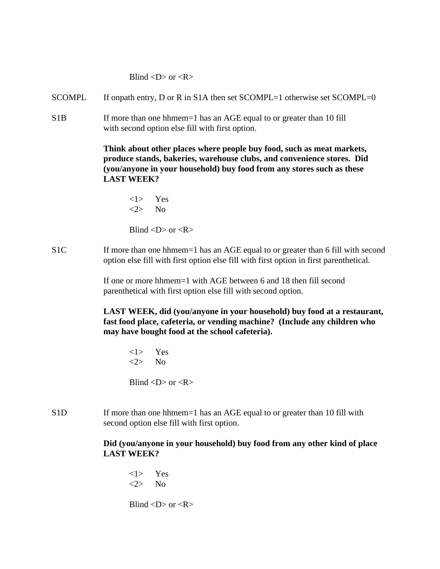Blind  $\langle D \rangle$  or  $\langle R \rangle$ 

- SCOMPL If onpath entry, D or R in S1A then set SCOMPL=1 otherwise set SCOMPL=0
- S1B If more than one hhmem=1 has an AGE equal to or greater than 10 fill with second option else fill with first option.

 **Think about other places where people buy food, such as meat markets, produce stands, bakeries, warehouse clubs, and convenience stores. Did (you/anyone in your household) buy food from any stores such as these LAST WEEK?**

<1> Yes <2> No

Blind  $\langle D \rangle$  or  $\langle R \rangle$ 

S1C If more than one hhmem=1 has an AGE equal to or greater than 6 fill with second option else fill with first option else fill with first option in first parenthetical.

> If one or more hhmem=1 with AGE between 6 and 18 then fill second parenthetical with first option else fill with second option.

**LAST WEEK, did (you/anyone in your household) buy food at a restaurant, fast food place, cafeteria, or vending machine? (Include any children who may have bought food at the school cafeteria).**

<1> Yes <2> No

Blind  $\langle D \rangle$  or  $\langle R \rangle$ 

S1D If more than one hhmem=1 has an AGE equal to or greater than 10 fill with second option else fill with first option.

# **Did (you/anyone in your household) buy food from any other kind of place LAST WEEK?**

<1> Yes <2> No

Blind  $\langle D \rangle$  or  $\langle R \rangle$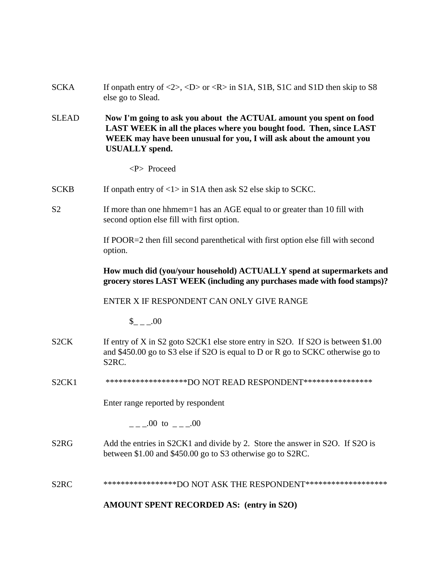| <b>SCKA</b>                    | If onpath entry of $\langle 2 \rangle$ , $\langle D \rangle$ or $\langle R \rangle$ in S1A, S1B, S1C and S1D then skip to S8<br>else go to Slead.                                                                                         |
|--------------------------------|-------------------------------------------------------------------------------------------------------------------------------------------------------------------------------------------------------------------------------------------|
| <b>SLEAD</b>                   | Now I'm going to ask you about the ACTUAL amount you spent on food<br>LAST WEEK in all the places where you bought food. Then, since LAST<br>WEEK may have been unusual for you, I will ask about the amount you<br><b>USUALLY</b> spend. |
|                                | <p> Proceed</p>                                                                                                                                                                                                                           |
| <b>SCKB</b>                    | If onpath entry of $\langle 1 \rangle$ in S1A then ask S2 else skip to SCKC.                                                                                                                                                              |
| S <sub>2</sub>                 | If more than one hhmem=1 has an AGE equal to or greater than 10 fill with<br>second option else fill with first option.                                                                                                                   |
|                                | If POOR=2 then fill second parenthetical with first option else fill with second<br>option.                                                                                                                                               |
|                                | How much did (you/your household) ACTUALLY spend at supermarkets and<br>grocery stores LAST WEEK (including any purchases made with food stamps)?                                                                                         |
|                                | ENTER X IF RESPONDENT CAN ONLY GIVE RANGE                                                                                                                                                                                                 |
|                                | $$-.00$                                                                                                                                                                                                                                   |
| S <sub>2</sub> CK              | If entry of X in S2 goto S2CK1 else store entry in S2O. If S2O is between \$1.00<br>and \$450.00 go to S3 else if S2O is equal to D or R go to SCKC otherwise go to<br>S <sub>2</sub> RC.                                                 |
| S <sub>2</sub> CK <sub>1</sub> | ********************DO NOT READ RESPONDENT*****************                                                                                                                                                                               |
|                                | Enter range reported by respondent                                                                                                                                                                                                        |
|                                | $\frac{1}{2}$ .00 to $\frac{1}{2}$ .00                                                                                                                                                                                                    |
| S <sub>2</sub> R <sub>G</sub>  | Add the entries in S2CK1 and divide by 2. Store the answer in S2O. If S2O is<br>between \$1.00 and \$450.00 go to S3 otherwise go to S2RC.                                                                                                |
| S <sub>2</sub> RC              | ******************DO NOT ASK THE RESPONDENT********************                                                                                                                                                                           |
|                                | AMOUNT SPENT RECORDED AS: (entry in S2O)                                                                                                                                                                                                  |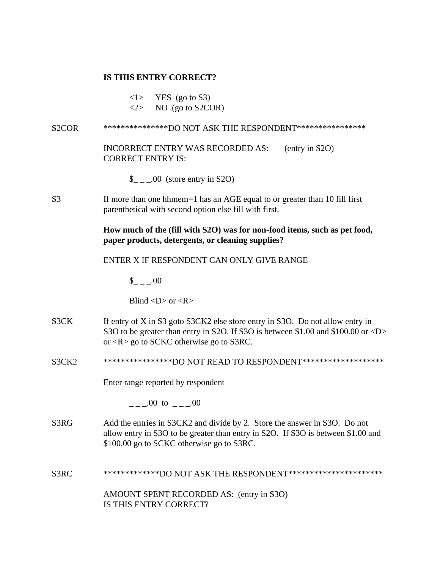# **IS THIS ENTRY CORRECT?**

 $\langle 1 \rangle$  YES (go to S3)

 $\langle 2 \rangle$  NO (go to S2COR)

S2COR \*\*\*\*\*\*\*\*\*\*\*\*\*\*\*\*DO NOT ASK THE RESPONDENT\*\*\*\*\*\*\*\*\*\*\*\*\*\*\*\* INCORRECT ENTRY WAS RECORDED AS: (entry in S2O) CORRECT ENTRY IS: \$ .00 (store entry in S2O) S3 If more than one hhmem=1 has an AGE equal to or greater than 10 fill first parenthetical with second option else fill with first. **How much of the (fill with S2O) was for non-food items, such as pet food, paper products, detergents, or cleaning supplies?** ENTER X IF RESPONDENT CAN ONLY GIVE RANGE  $_{- -1.00}$ Blind  $\langle D \rangle$  or  $\langle R \rangle$ S3CK If entry of X in S3 goto S3CK2 else store entry in S3O. Do not allow entry in S3O to be greater than entry in S2O. If S3O is between \$1.00 and \$100.00 or <D> or <R> go to SCKC otherwise go to S3RC. S3CK2 \*\*\*\*\*\*\*\*\*\*\*\*\*\*\*\*\*DO NOT READ TO RESPONDENT\*\*\*\*\*\*\*\*\*\*\*\*\*\*\*\*\*\*\*\* Enter range reported by respondent  $\mu$  =  $\mu$  00 to  $\mu$  =  $\mu$  00 S3RG Add the entries in S3CK2 and divide by 2. Store the answer in S3O. Do not allow entry in S3O to be greater than entry in S2O. If S3O is between \$1.00 and \$100.00 go to SCKC otherwise go to S3RC. S3RC \*\*\*\*\*\*\*\*\*\*\*\*\*DO NOT ASK THE RESPONDENT\*\*\*\*\*\*\*\*\*\*\*\*\*\*\*\*\*\*\*\*\*\*

> AMOUNT SPENT RECORDED AS: (entry in S3O) IS THIS ENTRY CORRECT?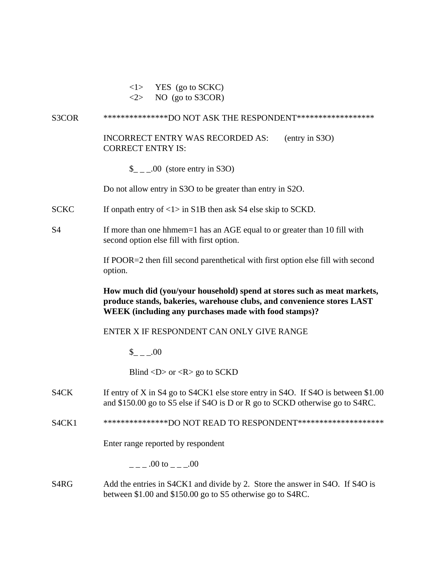- $\langle 1 \rangle$  YES (go to SCKC)
- $\langle 2 \rangle$  NO (go to S3COR)

## S3COR \*\*\*\*\*\*\*\*\*\*\*\*\*\*\*\*DO NOT ASK THE RESPONDENT\*\*\*\*\*\*\*\*\*\*\*\*\*\*\*\*\*\*\*

# INCORRECT ENTRY WAS RECORDED AS: (entry in S3O) CORRECT ENTRY IS:

 $\frac{1}{2}$  \_\_00 (store entry in S3O)

Do not allow entry in S3O to be greater than entry in S2O.

- SCKC If onpath entry of  $\langle 1 \rangle$  in S1B then ask S4 else skip to SCKD.
- S4 If more than one hhmem=1 has an AGE equal to or greater than 10 fill with second option else fill with first option.

If POOR=2 then fill second parenthetical with first option else fill with second option.

**How much did (you/your household) spend at stores such as meat markets, produce stands, bakeries, warehouse clubs, and convenience stores LAST WEEK (including any purchases made with food stamps)?**

### ENTER X IF RESPONDENT CAN ONLY GIVE RANGE

 $\$\,$  .00

Blind  $\langle D \rangle$  or  $\langle R \rangle$  go to SCKD

- S4CK If entry of X in S4 go to S4CK1 else store entry in S4O. If S4O is between \$1.00 and \$150.00 go to S5 else if S4O is D or R go to SCKD otherwise go to S4RC.
- S4CK1 \*\*\*\*\*\*\*\*\*\*\*\*\*\*\*\*\*DO NOT READ TO RESPONDENT\*\*\*\*\*\*\*\*\*\*\*\*\*\*\*\*\*\*\*\*\*

Enter range reported by respondent

 $.00 \text{ to } 0.00$ 

S4RG Add the entries in S4CK1 and divide by 2. Store the answer in S4O. If S4O is between \$1.00 and \$150.00 go to S5 otherwise go to S4RC.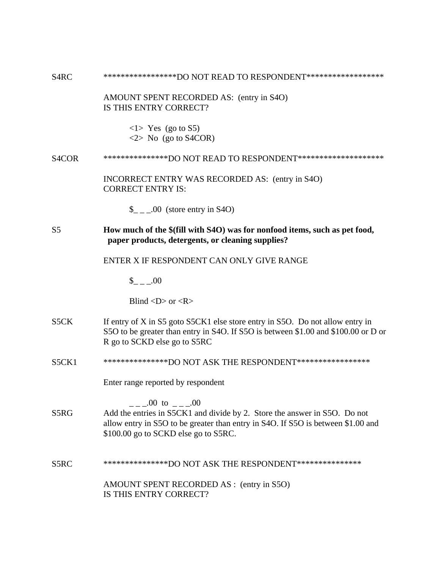S4RC \*\*\*\*\*\*\*\*\*\*\*\*\*\*\*\*\*DO NOT READ TO RESPONDENT\*\*\*\*\*\*\*\*\*\*\*\*\*\*\*\*\*\*

AMOUNT SPENT RECORDED AS: (entry in S4O) IS THIS ENTRY CORRECT?

> $\langle$ 1> Yes (go to S5)  $\langle 2 \rangle$  No (go to S4COR)

#### S4COR \*\*\*\*\*\*\*\*\*\*\*\*\*\*\*DO NOT READ TO RESPONDENT\*\*\*\*\*\*\*\*\*\*\*\*\*\*\*\*\*\*\*\*

INCORRECT ENTRY WAS RECORDED AS: (entry in S4O) CORRECT ENTRY IS:

 $\frac{\S}{\S}$  \_ \_ .00 (store entry in S4O)

# S5 **How much of the \$(fill with S4O) was for nonfood items, such as pet food, paper products, detergents, or cleaning supplies?**

# ENTER X IF RESPONDENT CAN ONLY GIVE RANGE

 $$ 00$ 

Blind  $\langle D \rangle$  or  $\langle R \rangle$ 

- S5CK If entry of X in S5 goto S5CK1 else store entry in S5O. Do not allow entry in S5O to be greater than entry in S4O. If S5O is between \$1.00 and \$100.00 or D or R go to SCKD else go to S5RC
- S5CK1 \*\*\*\*\*\*\*\*\*\*\*\*\*\*\*\*DO NOT ASK THE RESPONDENT\*\*\*\*\*\*\*\*\*\*\*\*\*\*\*\*\*\*

Enter range reported by respondent

 $\frac{1}{2} - 0.00 \text{ to } \frac{1}{2} - 0.00$ S5RG Add the entries in S5CK1 and divide by 2. Store the answer in S5O. Do not allow entry in S5O to be greater than entry in S4O. If S5O is between \$1.00 and \$100.00 go to SCKD else go to S5RC.

S5RC \*\*\*\*\*\*\*\*\*\*\*\*\*\*\*DO NOT ASK THE RESPONDENT\*\*\*\*\*\*\*\*\*\*\*\*\*\*\* AMOUNT SPENT RECORDED AS : (entry in S5O) IS THIS ENTRY CORRECT?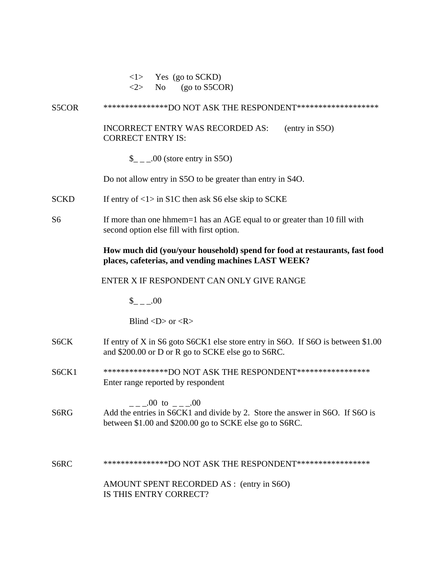$\langle 1 \rangle$  Yes (go to SCKD)  $\langle 2 \rangle$  No (go to S5COR)

S5COR \*\*\*\*\*\*\*\*\*\*\*\*\*\*\*\*DO NOT ASK THE RESPONDENT\*\*\*\*\*\*\*\*\*\*\*\*\*\*\*\*\*\*\*\*

INCORRECT ENTRY WAS RECORDED AS: (entry in S5O) CORRECT ENTRY IS:

 $\frac{1}{2}$  \_ \_00 (store entry in S5O)

Do not allow entry in S5O to be greater than entry in S4O.

SCKD If entry of  $\langle 1 \rangle$  in S1C then ask S6 else skip to SCKE

S6 If more than one hhmem=1 has an AGE equal to or greater than 10 fill with second option else fill with first option.

## **How much did (you/your household) spend for food at restaurants, fast food places, cafeterias, and vending machines LAST WEEK?**

ENTER X IF RESPONDENT CAN ONLY GIVE RANGE

 $\frac{\text{I}}{\text{I}} = 0.00$ 

Blind  $\langle D \rangle$  or  $\langle R \rangle$ 

- S6CK If entry of X in S6 goto S6CK1 else store entry in S6O. If S6O is between \$1.00 and \$200.00 or D or R go to SCKE else go to S6RC.
- S6CK1 \*\*\*\*\*\*\*\*\*\*\*\*\*\*\*\*DO NOT ASK THE RESPONDENT\*\*\*\*\*\*\*\*\*\*\*\*\*\*\*\*\*\* Enter range reported by respondent

 $\mu$  =  $\mu$  00 to  $\mu$  =  $\mu$  00 S6RG Add the entries in S6CK1 and divide by 2. Store the answer in S6O. If S6O is between \$1.00 and \$200.00 go to SCKE else go to S6RC.

S6RC \*\*\*\*\*\*\*\*\*\*\*\*\*\*\*\*DO NOT ASK THE RESPONDENT\*\*\*\*\*\*\*\*\*\*\*\*\*\*\*\*\* AMOUNT SPENT RECORDED AS : (entry in S6O) IS THIS ENTRY CORRECT?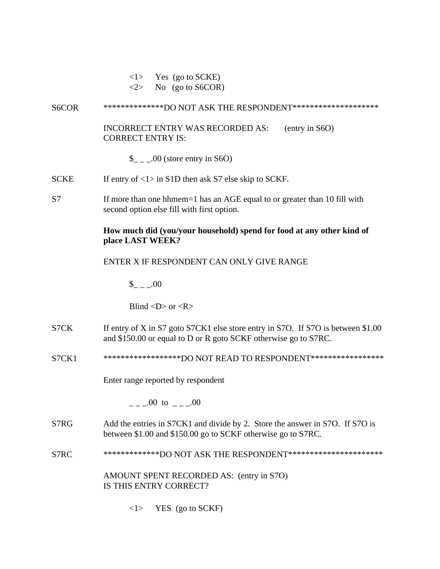| $\langle 1 \rangle$ |  | Yes (go to SCKE) |
|---------------------|--|------------------|
|                     |  |                  |

 $\langle 2 \rangle$  No (go to S6COR)

# S6COR \*\*\*\*\*\*\*\*\*\*\*\*\*\*\*DO NOT ASK THE RESPONDENT\*\*\*\*\*\*\*\*\*\*\*\*\*\*\*\*\*\*\*\*\*

INCORRECT ENTRY WAS RECORDED AS: (entry in S6O) CORRECT ENTRY IS:

 $\frac{1}{2}$  \_ \_00 (store entry in S6O)

- SCKE If entry of  $\langle 1 \rangle$  in S1D then ask S7 else skip to SCKF.
- S7 If more than one hhmem=1 has an AGE equal to or greater than 10 fill with second option else fill with first option.

# **How much did (you/your household) spend for food at any other kind of place LAST WEEK?**

# ENTER X IF RESPONDENT CAN ONLY GIVE RANGE

 $_{- -1.00}$ 

Blind  $\langle D \rangle$  or  $\langle R \rangle$ 

- S7CK If entry of X in S7 goto S7CK1 else store entry in S7O. If S7O is between \$1.00 and \$150.00 or equal to D or R goto SCKF otherwise go to S7RC.
- S7CK1 \*\*\*\*\*\*\*\*\*\*\*\*\*\*\*\*\*\*\*DO NOT READ TO RESPONDENT\*\*\*\*\*\*\*\*\*\*\*\*\*\*\*\*\*\*

Enter range reported by respondent

 $---00$  to  $---00$ 

- S7RG Add the entries in S7CK1 and divide by 2. Store the answer in S7O. If S7O is between \$1.00 and \$150.00 go to SCKF otherwise go to S7RC.
- S7RC \*\*\*\*\*\*\*\*\*\*\*\*\*\*DO NOT ASK THE RESPONDENT\*\*\*\*\*\*\*\*\*\*\*\*\*\*\*\*\*\*\*\*\*\*\*

AMOUNT SPENT RECORDED AS: (entry in S7O) IS THIS ENTRY CORRECT?

 $\langle 1 \rangle$  YES (go to SCKF)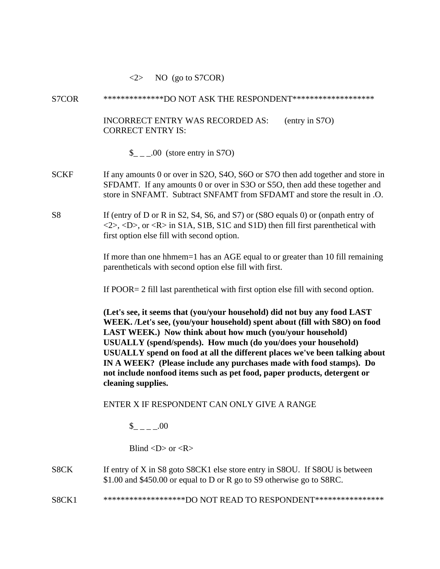### $\langle 2 \rangle$  NO (go to S7COR)

#### S7COR \*\*\*\*\*\*\*\*\*\*\*\*\*\*DO NOT ASK THE RESPONDENT\*\*\*\*\*\*\*\*\*\*\*\*\*\*\*\*\*\*\*

INCORRECT ENTRY WAS RECORDED AS: (entry in S7O) CORRECT ENTRY IS:

 $\frac{\text{I}}{\text{I}}$  \_ \_.00 (store entry in S7O)

- SCKF If any amounts 0 or over in S2O, S4O, S6O or S7O then add together and store in SFDAMT. If any amounts 0 or over in S3O or S5O, then add these together and store in SNFAMT. Subtract SNFAMT from SFDAMT and store the result in .O.
- S8 If (entry of D or R in S2, S4, S6, and S7) or (S8O equals 0) or (onpath entry of  $\langle 2 \rangle$ ,  $\langle D \rangle$ , or  $\langle R \rangle$  in S1A, S1B, S1C and S1D) then fill first parenthetical with first option else fill with second option.

If more than one hhmem=1 has an AGE equal to or greater than 10 fill remaining parentheticals with second option else fill with first.

If POOR= 2 fill last parenthetical with first option else fill with second option.

**(Let's see, it seems that (you/your household) did not buy any food LAST WEEK. /Let's see, (you/your household) spent about (fill with S8O) on food LAST WEEK.) Now think about how much (you/your household) USUALLY (spend/spends). How much (do you/does your household) USUALLY spend on food at all the different places we've been talking about IN A WEEK? (Please include any purchases made with food stamps). Do not include nonfood items such as pet food, paper products, detergent or cleaning supplies.**

### ENTER X IF RESPONDENT CAN ONLY GIVE A RANGE

 $\frac{\S}{g}$  \_ \_ \_ \_ \_ 00

Blind  $\langle D \rangle$  or  $\langle R \rangle$ 

# S8CK If entry of X in S8 goto S8CK1 else store entry in S8OU. If S8OU is between \$1.00 and \$450.00 or equal to D or R go to S9 otherwise go to S8RC.

S8CK1 \*\*\*\*\*\*\*\*\*\*\*\*\*\*\*\*\*\*\*\*\*\*\*\*\*\*\*\*\*\*DO NOT READ TO RESPONDENT\*\*\*\*\*\*\*\*\*\*\*\*\*\*\*\*\*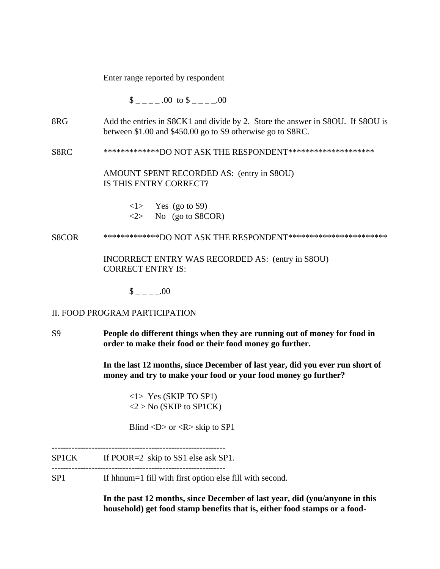Enter range reported by respondent

 $\$\qquad 00 \text{ to } \$$  .00

- 8RG Add the entries in S8CK1 and divide by 2. Store the answer in S8OU. If S8OU is between \$1.00 and \$450.00 go to S9 otherwise go to S8RC.
- S8RC \*\*\*\*\*\*\*\*\*\*\*\*\*DO NOT ASK THE RESPONDENT\*\*\*\*\*\*\*\*\*\*\*\*\*\*\*\*\*\*\*\*

AMOUNT SPENT RECORDED AS: (entry in S8OU) IS THIS ENTRY CORRECT?

- $\langle 1 \rangle$  Yes (go to S9)  $\langle 2 \rangle$  No (go to S8COR)
- S8COR \*\*\*\*\*\*\*\*\*\*\*\*\*DO NOT ASK THE RESPONDENT\*\*\*\*\*\*\*\*\*\*\*\*\*\*\*\*\*\*\*\*\*\*\*

INCORRECT ENTRY WAS RECORDED AS: (entry in S8OU) CORRECT ENTRY IS:

 $\$\quad .00$ 

### II. FOOD PROGRAM PARTICIPATION

S9 **People do different things when they are running out of money for food in order to make their food or their food money go further.**

> **In the last 12 months, since December of last year, did you ever run short of money and try to make your food or your food money go further?**

<1> Yes (SKIP TO SP1)  $<$ 2 > No (SKIP to SP1CK)

Blind  $\langle D \rangle$  or  $\langle R \rangle$  skip to SP1

**-**------------------------------------------------------------

SP1CK If POOR=2 skip to SS1 else ask SP1.

-------------------------------------------------------------

SP1 If hhnum=1 fill with first option else fill with second.

**In the past 12 months, since December of last year, did (you/anyone in this household) get food stamp benefits that is, either food stamps or a food-**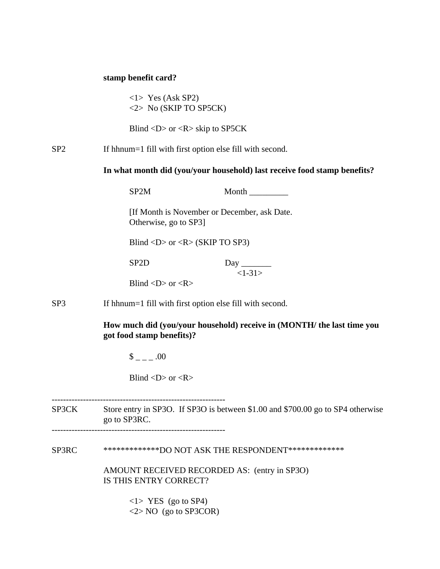## **stamp benefit card?**

<1> Yes (Ask SP2) <2> No (SKIP TO SP5CK)

Blind <D> or <R> skip to SP5CK

SP2 If hhnum=1 fill with first option else fill with second.

**In what month did (you/your household) last receive food stamp benefits?**

|                 | SP <sub>2</sub> M                                        | Month                                                                  |  |
|-----------------|----------------------------------------------------------|------------------------------------------------------------------------|--|
|                 | Otherwise, go to SP3]                                    | [If Month is November or December, ask Date.]                          |  |
|                 |                                                          | Blind <d> or <r> <math>(R &gt; S)</math> (SKIP TO SP3)</r></d>         |  |
|                 | SP <sub>2</sub> D                                        | $\left\langle -1 - 31 \right\rangle$                                   |  |
|                 | Blind $\langle D \rangle$ or $\langle R \rangle$         |                                                                        |  |
| SP <sub>3</sub> | If hhnum=1 fill with first option else fill with second. |                                                                        |  |
|                 | got food stamp benefits)?                                | How much did (you/your household) receive in (MONTH/ the last time you |  |

 $\frac{1}{2}$  =  $-$  .00

Blind  $\langle D \rangle$  or  $\langle R \rangle$ 

-------------------------------------------------------------

SP3CK Store entry in SP3O. If SP3O is between \$1.00 and \$700.00 go to SP4 otherwise go to SP3RC.

SP3RC \*\*\*\*\*\*\*\*\*\*\*\*\*\*DO NOT ASK THE RESPONDENT\*\*\*\*\*\*\*\*\*\*\*\*\*\*

 AMOUNT RECEIVED RECORDED AS: (entry in SP3O) IS THIS ENTRY CORRECT?

> $\langle$ 1> YES (go to SP4) <2> NO (go to SP3COR)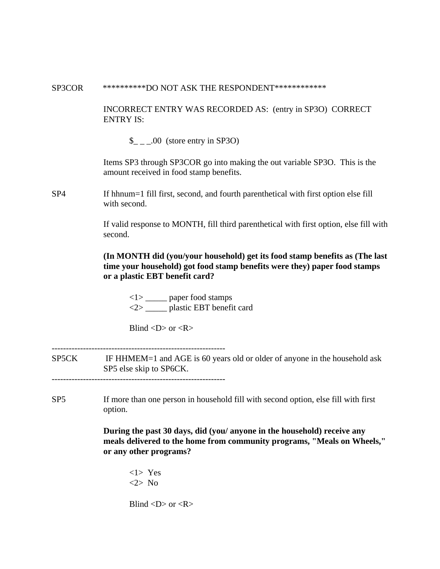#### SP3COR \*\*\*\*\*\*\*\*\*\*\*DO NOT ASK THE RESPONDENT\*\*\*\*\*\*\*\*\*\*\*\*\*

INCORRECT ENTRY WAS RECORDED AS: (entry in SP3O) CORRECT ENTRY IS:

 $\_{$   $\_\_$   $\_\_$  00 (store entry in SP3O)

Items SP3 through SP3COR go into making the out variable SP3O. This is the amount received in food stamp benefits.

SP4 If hhnum=1 fill first, second, and fourth parenthetical with first option else fill with second.

> If valid response to MONTH, fill third parenthetical with first option, else fill with second.

# **(In MONTH did (you/your household) get its food stamp benefits as (The last time your household) got food stamp benefits were they) paper food stamps or a plastic EBT benefit card?**

<1> \_\_\_\_\_ paper food stamps <2> \_\_\_\_\_ plastic EBT benefit card

Blind  $\langle D \rangle$  or  $\langle R \rangle$ 

SP5CK IF HHMEM=1 and AGE is 60 years old or older of anyone in the household ask SP5 else skip to SP6CK.

-------------------------------------------------------------

SP5 If more than one person in household fill with second option, else fill with first option.

> **During the past 30 days, did (you/ anyone in the household) receive any meals delivered to the home from community programs, "Meals on Wheels," or any other programs?**

<1> Yes <2> No

Blind  $\langle D \rangle$  or  $\langle R \rangle$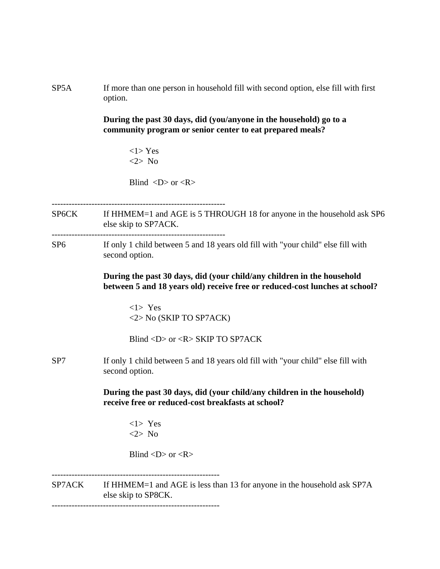SP5A If more than one person in household fill with second option, else fill with first option.

> **During the past 30 days, did (you/anyone in the household) go to a community program or senior center to eat prepared meals?**

> > <1> Yes <2> No

Blind  $\langle D \rangle$  or  $\langle R \rangle$ 

SP6CK If HHMEM=1 and AGE is 5 THROUGH 18 for anyone in the household ask SP6 else skip to SP7ACK. -------------------------------------------------------------

SP6 If only 1 child between 5 and 18 years old fill with "your child" else fill with second option.

> **During the past 30 days, did (your child/any children in the household between 5 and 18 years old) receive free or reduced-cost lunches at school?**

<1> Yes <2> No (SKIP TO SP7ACK)

Blind <D> or <R> SKIP TO SP7ACK

SP7 If only 1 child between 5 and 18 years old fill with "your child" else fill with second option.

> **During the past 30 days, did (your child/any children in the household) receive free or reduced-cost breakfasts at school?**

<1> Yes <2> No

-----------------------------------------------------------

Blind  $\langle D \rangle$  or  $\langle R \rangle$ 

SP7ACK If HHMEM=1 and AGE is less than 13 for anyone in the household ask SP7A else skip to SP8CK.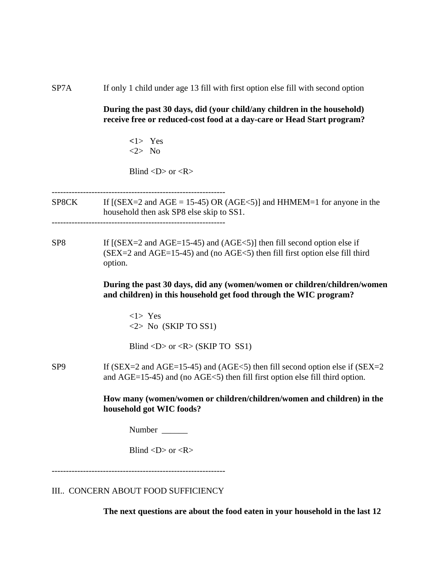SP7A If only 1 child under age 13 fill with first option else fill with second option

**During the past 30 days, did (your child/any children in the household) receive free or reduced-cost food at a day-care or Head Start program?**

**<**1> Yes <2> No

Blind  $\langle D \rangle$  or  $\langle R \rangle$ 

-------------------------------------------------------------

- SP8CK If  $[(SEX=2 \text{ and } AGE = 15-45) \text{ OR } (AGE<5)]$  and HHMEM=1 for anyone in the household then ask SP8 else skip to SS1. -------------------------------------------------------------
- SP8 If  $[(SEX=2 \text{ and } AGE=15-45) \text{ and } (AGE<5)]$  then fill second option else if  $(SEX = 2$  and  $AGE = 15-45)$  and (no  $AGE < 5$ ) then fill first option else fill third option.

**During the past 30 days, did any (women/women or children/children/women and children) in this household get food through the WIC program?**

<1> Yes <2> No (SKIP TO SS1)

Blind  $\langle D \rangle$  or  $\langle R \rangle$  (SKIP TO SS1)

SP9 If (SEX=2 and AGE=15-45) and (AGE<5) then fill second option else if (SEX=2 and AGE=15-45) and (no AGE<5) then fill first option else fill third option.

> **How many (women/women or children/children/women and children) in the household got WIC foods?**

Number  $\blacksquare$ 

Blind  $\langle D \rangle$  or  $\langle R \rangle$ 

-------------------------------------------------------------

III.. CONCERN ABOUT FOOD SUFFICIENCY

**The next questions are about the food eaten in your household in the last 12**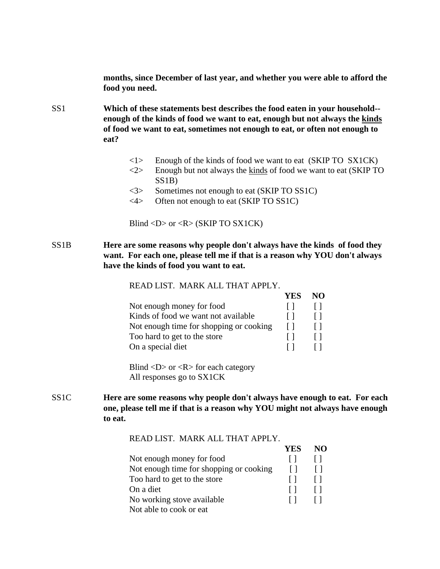**months, since December of last year, and whether you were able to afford the food you need.**

SS1 **Which of these statements best describes the food eaten in your household- enough of the kinds of food we want to eat, enough but not always the kinds of food we want to eat, sometimes not enough to eat, or often not enough to eat?**

- $\langle$ 1> Enough of the kinds of food we want to eat (SKIP TO SX1CK)
- $\langle 2 \rangle$  Enough but not always the kinds of food we want to eat (SKIP TO SS1B)
- <3> Sometimes not enough to eat (SKIP TO SS1C)
- <4> Often not enough to eat (SKIP TO SS1C)

Blind <D> or <R> (SKIP TO SX1CK)

SS1B **Here are some reasons why people don't always have the kinds of food they want. For each one, please tell me if that is a reason why YOU don't always have the kinds of food you want to eat.**

READ LIST. MARK ALL THAT APPLY.

|                                         | YES | NO. |
|-----------------------------------------|-----|-----|
| Not enough money for food               |     |     |
| Kinds of food we want not available     |     |     |
| Not enough time for shopping or cooking |     |     |
| Too hard to get to the store            |     |     |
| On a special diet                       |     |     |

Blind  $\langle D \rangle$  or  $\langle R \rangle$  for each category All responses go to SX1CK

SS1C **Here are some reasons why people don't always have enough to eat. For each one, please tell me if that is a reason why YOU might not always have enough to eat.**

READ LIST. MARK ALL THAT APPLY.

|                                         | <b>YES</b> | NO |
|-----------------------------------------|------------|----|
| Not enough money for food               |            |    |
| Not enough time for shopping or cooking |            |    |
| Too hard to get to the store            |            |    |
| On a diet                               |            |    |
| No working stove available              |            |    |
| Not able to cook or eat                 |            |    |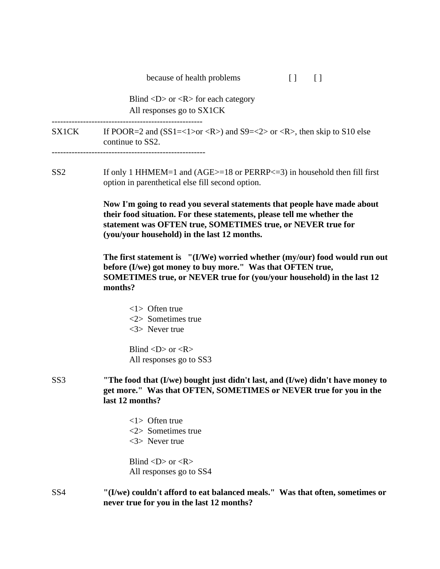| because of health problems |  |  |
|----------------------------|--|--|
|----------------------------|--|--|

Blind  $\langle D \rangle$  or  $\langle R \rangle$  for each category All responses go to SX1CK

-----------------------------------------------------

SX1CK If POOR=2 and  $(SS1=<1>or )$  and  $S9=<2>or$ , then skip to S10 else continue to SS2.

------------------------------------------------------

SS2 If only 1 HHMEM=1 and (AGE>=18 or PERRP<=3) in household then fill first option in parenthetical else fill second option.

> **Now I'm going to read you several statements that people have made about their food situation. For these statements, please tell me whether the statement was OFTEN true, SOMETIMES true, or NEVER true for (you/your household) in the last 12 months.**

**The first statement is "(I/We) worried whether (my/our) food would run out before (I/we) got money to buy more." Was that OFTEN true, SOMETIMES true, or NEVER true for (you/your household) in the last 12 months?**

<1> Often true <2> Sometimes true <3> Never true

Blind  $\langle D \rangle$  or  $\langle R \rangle$ All responses go to SS3

# SS3 **"The food that (I/we) bought just didn't last, and (I/we) didn't have money to get more." Was that OFTEN, SOMETIMES or NEVER true for you in the last 12 months?**

<1> Often true <2> Sometimes true <3> Never true

Blind  $\langle D \rangle$  or  $\langle R \rangle$ All responses go to SS4

SS4 **"(I/we) couldn't afford to eat balanced meals." Was that often, sometimes or never true for you in the last 12 months?**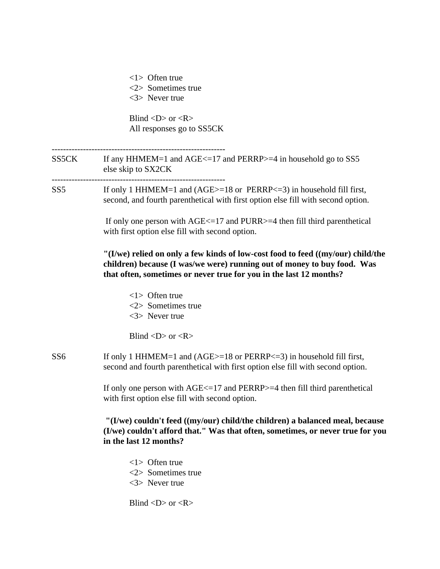<1> Often true <2> Sometimes true <3> Never true

Blind  $\langle D \rangle$  or  $\langle R \rangle$ All responses go to SS5CK

------------------------------------------------------------- SS5CK If any HHMEM=1 and AGE $\le$ =17 and PERRP $>$ =4 in household go to SS5 else skip to SX2CK ------------------------------------------------------------- SS5 If only 1 HHMEM=1 and (AGE>=18 or PERRP<=3) in household fill first, second, and fourth parenthetical with first option else fill with second option.

> If only one person with AGE<=17 and PURR>=4 then fill third parenthetical with first option else fill with second option.

**"(I/we) relied on only a few kinds of low-cost food to feed ((my/our) child/the children) because (I was/we were) running out of money to buy food. Was that often, sometimes or never true for you in the last 12 months?**

<1> Often true <2> Sometimes true <3> Never true

Blind  $\langle D \rangle$  or  $\langle R \rangle$ 

SS6 If only 1 HHMEM=1 and (AGE>=18 or PERRP<=3) in household fill first, second and fourth parenthetical with first option else fill with second option.

> If only one person with AGE<=17 and PERRP>=4 then fill third parenthetical with first option else fill with second option.

# **"(I/we) couldn't feed ((my/our) child/the children) a balanced meal, because (I/we) couldn't afford that." Was that often, sometimes, or never true for you in the last 12 months?**

<1> Often true <2> Sometimes true <3> Never true

Blind  $\langle D \rangle$  or  $\langle R \rangle$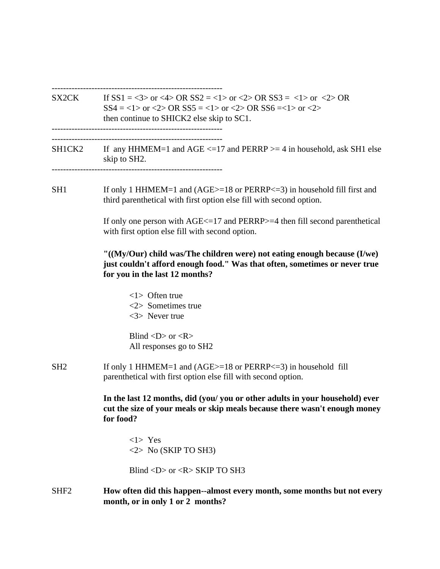------------------------------------------------------------

SX2CK If  $SS1 = <3>$  or  $<4>$  OR  $SS2 = <1>$  or  $<2>$  OR  $SS3 = <1>$  or  $<2>$  OR  $SS4 = <1>$  or  $<2>$  OR  $SS5 = <1>$  or  $<2>$  OR  $SS6 = <1>$  or  $<2>$  then continue to SHICK2 else skip to SC1. ------------------------------------------------------------

------------------------------------------------------------

SH1CK2 If any HHMEM=1 and AGE  $\le$  =17 and PERRP  $\ge$  = 4 in household, ask SH1 else skip to SH2. ------------------------------------------------------------

SH1 If only 1 HHMEM=1 and (AGE>=18 or PERRP<=3) in household fill first and third parenthetical with first option else fill with second option.

> If only one person with AGE<=17 and PERRP>=4 then fill second parenthetical with first option else fill with second option.

# **"((My/Our) child was/The children were) not eating enough because (I/we) just couldn't afford enough food." Was that often, sometimes or never true for you in the last 12 months?**

<1> Often true <2> Sometimes true <3> Never true

Blind  $\langle D \rangle$  or  $\langle R \rangle$ All responses go to SH2

SH2 If only 1 HHMEM=1 and (AGE>=18 or PERRP<=3) in household fill parenthetical with first option else fill with second option.

> **In the last 12 months, did (you/ you or other adults in your household) ever cut the size of your meals or skip meals because there wasn't enough money for food?**

<1> Yes  $\langle 2 \rangle$  No (SKIP TO SH3)

Blind  $\langle D \rangle$  or  $\langle R \rangle$  SKIP TO SH3

SHF2 **How often did this happen--almost every month, some months but not every month, or in only 1 or 2 months?**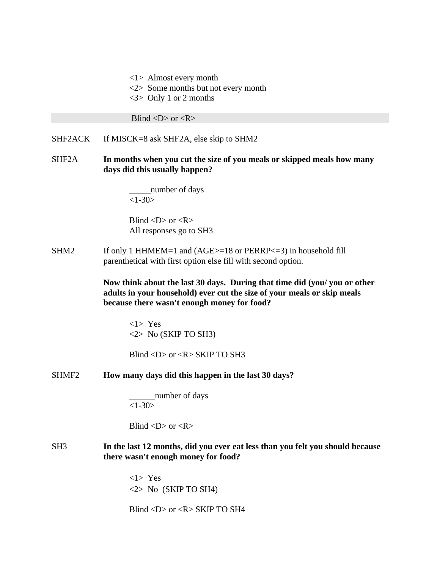<1> Almost every month

- <2> Some months but not every month
- <3> Only 1 or 2 months

Blind  $\langle D \rangle$  or  $\langle R \rangle$ 

SHF2ACK If MISCK=8 ask SHF2A, else skip to SHM2

SHF2A **In months when you cut the size of you meals or skipped meals how many days did this usually happen?**

> \_\_\_\_\_number of days  $<1-30>$

Blind  $\langle D \rangle$  or  $\langle R \rangle$ All responses go to SH3

SHM2 If only 1 HHMEM=1 and (AGE>=18 or PERRP<=3) in household fill parenthetical with first option else fill with second option.

> **Now think about the last 30 days. During that time did (you/ you or other adults in your household) ever cut the size of your meals or skip meals because there wasn't enough money for food?**

<1> Yes  $\langle 2 \rangle$  No (SKIP TO SH3)

Blind  $\langle D \rangle$  or  $\langle R \rangle$  SKIP TO SH3

SHMF2 **How many days did this happen in the last 30 days?**

\_\_\_\_\_\_number of days  $<1-30>$ 

Blind  $\langle D \rangle$  or  $\langle R \rangle$ 

SH3 **In the last 12 months, did you ever eat less than you felt you should because there wasn't enough money for food?**

> <1> Yes  $\langle 2 \rangle$  No (SKIP TO SH4)

Blind <D> or <R> SKIP TO SH4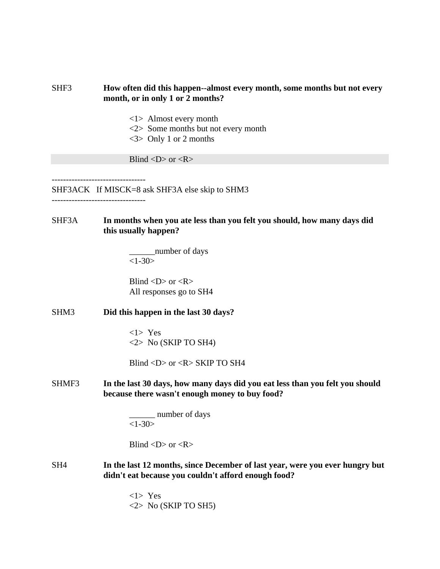# SHF3 **How often did this happen--almost every month, some months but not every month, or in only 1 or 2 months?**

- <1> Almost every month
- <2> Some months but not every month
- <3> Only 1 or 2 months

Blind  $\langle D \rangle$  or  $\langle R \rangle$ 

SHF3ACK If MISCK=8 ask SHF3A else skip to SHM3

---------------------------------

# SHF3A **In months when you ate less than you felt you should, how many days did this usually happen?**

\_\_\_\_\_\_number of days  $<1-30>$ 

Blind  $\langle D \rangle$  or  $\langle R \rangle$ All responses go to SH4

SHM3 **Did this happen in the last 30 days?**

<1> Yes  $\langle 2 \rangle$  No (SKIP TO SH4)

Blind <D> or <R> SKIP TO SH4

SHMF3 **In the last 30 days, how many days did you eat less than you felt you should because there wasn't enough money to buy food?**

> \_\_\_\_\_\_ number of days  $<1 - 30$

Blind  $\langle D \rangle$  or  $\langle R \rangle$ 

SH4 **In the last 12 months, since December of last year, were you ever hungry but didn't eat because you couldn't afford enough food?**

> <1> Yes <2> No (SKIP TO SH5)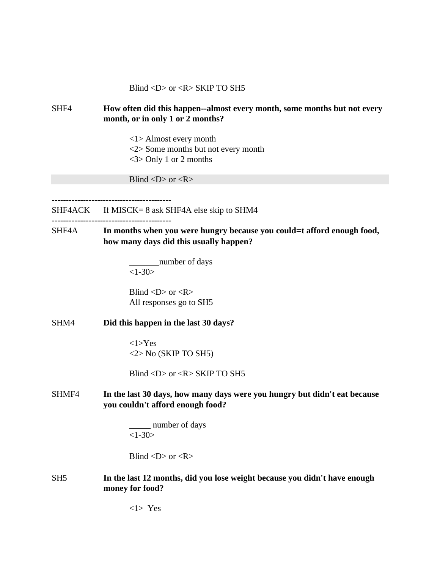## Blind  $\langle D \rangle$  or  $\langle R \rangle$  SKIP TO SH5

# SHF4 **How often did this happen--almost every month, some months but not every month, or in only 1 or 2 months?**

<1> Almost every month <2> Some months but not every month <3> Only 1 or 2 months

Blind  $\langle D \rangle$  or  $\langle R \rangle$ 

------------------------------------------

SHF4ACK If MISCK= 8 ask SHF4A else skip to SHM4

# ------------------------------------------

SHF4A **In months when you were hungry because you could=t afford enough food, how many days did this usually happen?**

> \_\_\_\_\_\_\_number of days  $<1-30>$

Blind  $\langle D \rangle$  or  $\langle R \rangle$ All responses go to SH5

#### SHM4 **Did this happen in the last 30 days?**

<1>Yes <2> No (SKIP TO SH5)

Blind  $\langle D \rangle$  or  $\langle R \rangle$  SKIP TO SH5

## SHMF4 **In the last 30 days, how many days were you hungry but didn't eat because you couldn't afford enough food?**

\_\_\_\_\_ number of days  $<1 - 30$ 

Blind  $\langle D \rangle$  or  $\langle R \rangle$ 

## SH5 **In the last 12 months, did you lose weight because you didn't have enough money for food?**

<1> Yes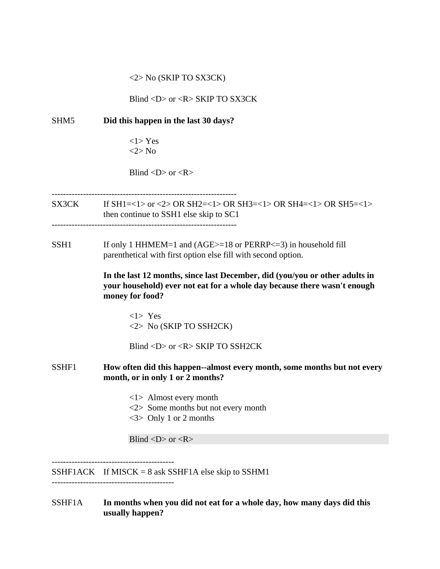## <2> No (SKIP TO SX3CK)

Blind <D> or <R> SKIP TO SX3CK

# SHM5 **Did this happen in the last 30 days?**  $<1$ > Yes <2> No Blind  $\langle D \rangle$  or  $\langle R \rangle$ ----------------------------------------------------------------- SX3CK If SH1=<1> or <2> OR SH2=<1> OR SH3=<1> OR SH4=<1> OR SH5=<1> then continue to SSH1 else skip to SC1 SSH1 If only 1 HHMEM=1 and (AGE>=18 or PERRP<=3) in household fill parenthetical with first option else fill with second option. **In the last 12 months, since last December, did (you/you or other adults in your household) ever not eat for a whole day because there wasn't enough money for food?** <1> Yes <2> No (SKIP TO SSH2CK) Blind <D> or <R> SKIP TO SSH2CK SSHF1 **How often did this happen--almost every month, some months but not every month, or in only 1 or 2 months?** <1> Almost every month <2> Some months but not every month <3> Only 1 or 2 months Blind  $\langle D \rangle$  or  $\langle R \rangle$ SSHF1ACK If MISCK =  $8$  ask SSHF1A else skip to SSHM1

SSHF1A **In months when you did not eat for a whole day, how many days did this usually happen?**

-------------------------------------------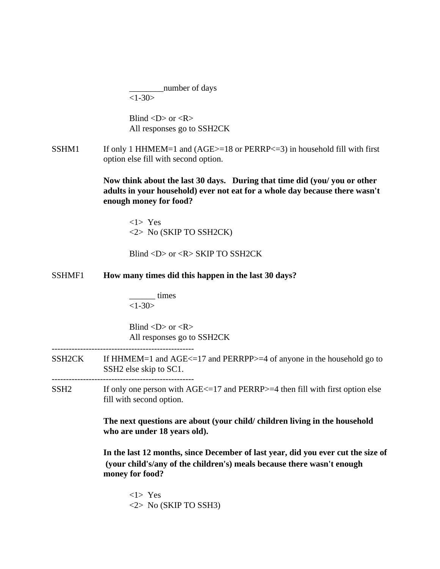\_\_\_\_\_\_\_\_number of days  $<1-30>$ 

Blind  $\langle D \rangle$  or  $\langle R \rangle$ All responses go to SSH2CK

SSHM1 If only 1 HHMEM=1 and  $(AGE>=18$  or  $PERRP<=3)$  in household fill with first option else fill with second option.

> **Now think about the last 30 days. During that time did (you/ you or other adults in your household) ever not eat for a whole day because there wasn't enough money for food?**

<1> Yes <2> No (SKIP TO SSH2CK)

Blind <D> or <R> SKIP TO SSH2CK

## SSHMF1 **How many times did this happen in the last 30 days?**

\_\_\_\_\_\_ times  $<1-30>$ 

Blind  $\langle D \rangle$  or  $\langle R \rangle$ All responses go to SSH2CK

SSH2CK If HHMEM=1 and AGE<=17 and PERRPP>=4 of anyone in the household go to SSH2 else skip to SC1.

--------------------------------------------------

 $SSH2$  If only one person with  $AGE \le 17$  and  $PERRP \ge 4$  then fill with first option else fill with second option.

> **The next questions are about (your child/ children living in the household who are under 18 years old).**

**In the last 12 months, since December of last year, did you ever cut the size of (your child's/any of the children's) meals because there wasn't enough money for food?**

<1> Yes <2> No (SKIP TO SSH3)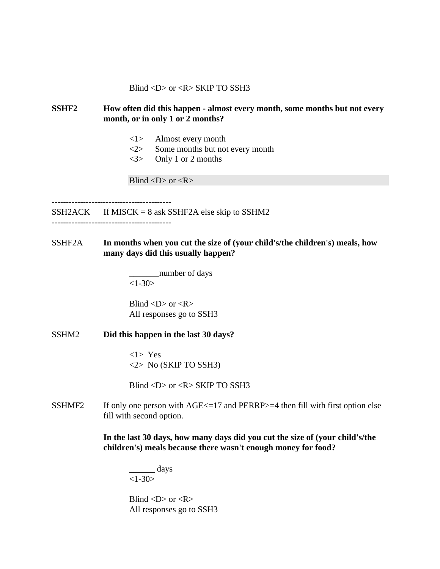Blind  $\langle D \rangle$  or  $\langle R \rangle$  SKIP TO SSH3

# **SSHF2 How often did this happen - almost every month, some months but not every month, or in only 1 or 2 months?**

- <1> Almost every month
- <2> Some months but not every month
- <3> Only 1 or 2 months

Blind  $\langle D \rangle$  or  $\langle R \rangle$ 

 $SSH2ACK$  If MISCK = 8 ask SSHF2A else skip to SSHM2

------------------------------------------

SSHF2A **In months when you cut the size of (your child's/the children's) meals, how many days did this usually happen?**

> number of days  $<1-30>$

Blind  $\langle D \rangle$  or  $\langle R \rangle$ All responses go to SSH3

### SSHM2 **Did this happen in the last 30 days?**

<1> Yes <2> No (SKIP TO SSH3)

Blind  $\langle D \rangle$  or  $\langle R \rangle$  SKIP TO SSH3

SSHMF2 If only one person with  $AGE \le 17$  and PERRP $> = 4$  then fill with first option else fill with second option.

> **In the last 30 days, how many days did you cut the size of (your child's/the children's) meals because there wasn't enough money for food?**

\_\_\_\_\_\_ days  $<1-30>$ 

Blind  $\langle D \rangle$  or  $\langle R \rangle$ All responses go to SSH3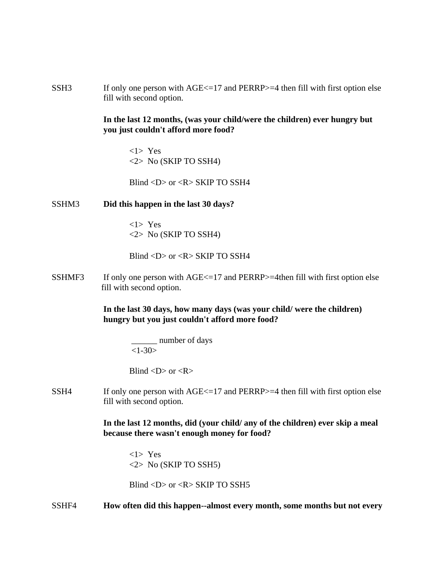SSH3 If only one person with AGE <= 17 and PERRP >=4 then fill with first option else fill with second option.

# **In the last 12 months, (was your child/were the children) ever hungry but you just couldn't afford more food?**

<1> Yes <2> No (SKIP TO SSH4)

Blind <D> or <R> SKIP TO SSH4

## SSHM3 **Did this happen in the last 30 days?**

<1> Yes <2> No (SKIP TO SSH4)

Blind  $\langle D \rangle$  or  $\langle R \rangle$  SKIP TO SSH4

SSHMF3 If only one person with  $AGE \le 17$  and PERRP $> = 4$ then fill with first option else fill with second option.

> **In the last 30 days, how many days (was your child/ were the children) hungry but you just couldn't afford more food?**

> > \_\_\_\_\_\_ number of days  $<1-30>$

Blind  $\langle D \rangle$  or  $\langle R \rangle$ 

SSH4 If only one person with  $AGE \le 17$  and  $PERRP \ge 4$  then fill with first option else fill with second option.

> **In the last 12 months, did (your child/ any of the children) ever skip a meal because there wasn't enough money for food?**

<1> Yes <2> No (SKIP TO SSH5)

Blind  $\langle D \rangle$  or  $\langle R \rangle$  SKIP TO SSH5

SSHF4 **How often did this happen--almost every month, some months but not every**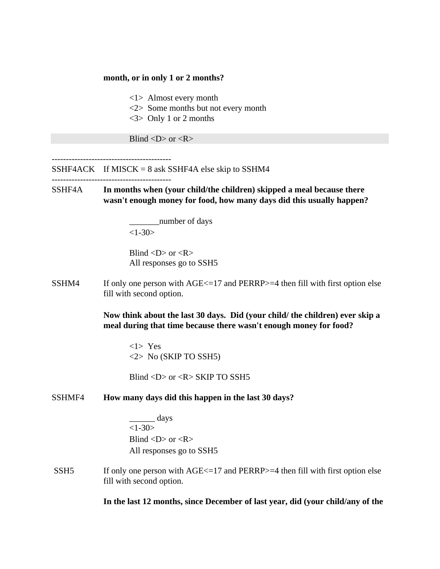#### **month, or in only 1 or 2 months?**

<1> Almost every month

- <2> Some months but not every month
- <3> Only 1 or 2 months

Blind  $\langle D \rangle$  or  $\langle R \rangle$ 

SSHF4ACK If MISCK =  $8$  ask SSHF4A else skip to SSHM4

------------------------------------------

SSHF4A **In months when (your child/the children) skipped a meal because there wasn't enough money for food, how many days did this usually happen?**

> \_\_\_\_\_\_\_number of days  $<1-30>$

Blind  $\langle D \rangle$  or  $\langle R \rangle$ All responses go to SSH5

SSHM4 If only one person with  $AGE \le 17$  and  $PERRP \ge 4$  then fill with first option else fill with second option.

> **Now think about the last 30 days. Did (your child/ the children) ever skip a meal during that time because there wasn't enough money for food?**

<1> Yes <2> No (SKIP TO SSH5)

Blind <D> or <R> SKIP TO SSH5

## SSHMF4 **How many days did this happen in the last 30 days?**

 $\qquad \qquad \text{days}$  $<1-30>$ Blind  $\langle D \rangle$  or  $\langle R \rangle$ All responses go to SSH5

SSH5 If only one person with  $\text{AGE}\leq 17$  and PERRP $>=4$  then fill with first option else fill with second option.

**In the last 12 months, since December of last year, did (your child/any of the**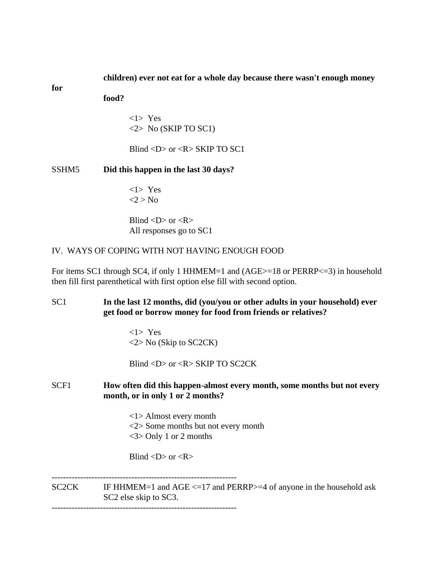## **children) ever not eat for a whole day because there wasn't enough money**

**for**

**food?**

<1> Yes  $\langle 2 \rangle$  No (SKIP TO SC1)

Blind <D> or <R> SKIP TO SC1

SSHM5 **Did this happen in the last 30 days?**

<1> Yes  $2 > No$ 

Blind  $\langle D \rangle$  or  $\langle R \rangle$ All responses go to SC1

# IV. WAYS OF COPING WITH NOT HAVING ENOUGH FOOD

For items SC1 through SC4, if only 1 HHMEM=1 and (AGE>=18 or PERRP<=3) in household then fill first parenthetical with first option else fill with second option.

SC1 **In the last 12 months, did (you/you or other adults in your household) ever get food or borrow money for food from friends or relatives?**

> <1> Yes <2> No (Skip to SC2CK)

Blind <D> or <R> SKIP TO SC2CK

# SCF1 **How often did this happen-almost every month, some months but not every month, or in only 1 or 2 months?**

<1> Almost every month <2> Some months but not every month <3> Only 1 or 2 months

Blind  $\langle D \rangle$  or  $\langle R \rangle$ 

-----------------------------------------------------------------

 $SC2CK$  IF HHMEM=1 and  $AGE < 17$  and PERRP $>= 4$  of anyone in the household ask SC2 else skip to SC3.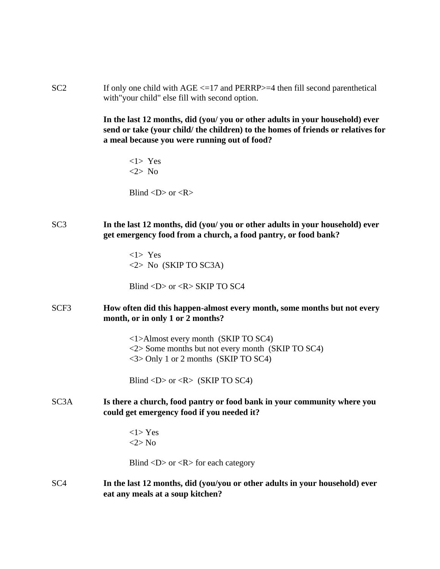$SC2$  If only one child with  $AGE < = 17$  and  $PERRP > = 4$  then fill second parenthetical with"your child" else fill with second option.

> **In the last 12 months, did (you/ you or other adults in your household) ever send or take (your child/ the children) to the homes of friends or relatives for a meal because you were running out of food?**

<1> Yes <2> No

Blind  $\langle D \rangle$  or  $\langle R \rangle$ 

SC3 **In the last 12 months, did (you/ you or other adults in your household) ever get emergency food from a church, a food pantry, or food bank?**

> <1> Yes <2> No (SKIP TO SC3A)

Blind  $\langle D \rangle$  or  $\langle R \rangle$  SKIP TO SC4

SCF3 **How often did this happen-almost every month, some months but not every month, or in only 1 or 2 months?**

> <1>Almost every month (SKIP TO SC4) <2> Some months but not every month (SKIP TO SC4) <3> Only 1 or 2 months (SKIP TO SC4)

Blind  $\langle D \rangle$  or  $\langle R \rangle$  (SKIP TO SC4)

SC3A **Is there a church, food pantry or food bank in your community where you could get emergency food if you needed it?**

> <1> Yes <2> No

Blind  $\langle D \rangle$  or  $\langle R \rangle$  for each category

SC4 **In the last 12 months, did (you/you or other adults in your household) ever eat any meals at a soup kitchen?**